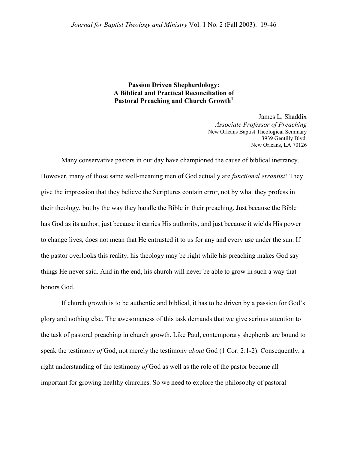## **Passion Driven Shepherdology: A Biblical and Practical Reconciliation of Pastoral Preaching and Church Growth[1](#page-0-0)**

James L. Shaddix *Associate Professor of Preaching*  New Orleans Baptist Theological Seminary 3939 Gentilly Blvd. New Orleans, LA 70126

Many conservative pastors in our day have championed the cause of biblical inerrancy. However, many of those same well-meaning men of God actually are *functional errantist*! They give the impression that they believe the Scriptures contain error, not by what they profess in their theology, but by the way they handle the Bible in their preaching. Just because the Bible has God as its author, just because it carries His authority, and just because it wields His power to change lives, does not mean that He entrusted it to us for any and every use under the sun. If the pastor overlooks this reality, his theology may be right while his preaching makes God say things He never said. And in the end, his church will never be able to grow in such a way that honors God.

<span id="page-0-0"></span>If church growth is to be authentic and biblical, it has to be driven by a passion for God's glory and nothing else. The awesomeness of this task demands that we give serious attention to the task of pastoral preaching in church growth. Like Paul, contemporary shepherds are bound to speak the testimony *of* God, not merely the testimony *about* God (1 Cor. 2:1-2). Consequently, a right understanding of the testimony *of* God as well as the role of the pastor become all important for growing healthy churches. So we need to explore the philosophy of pastoral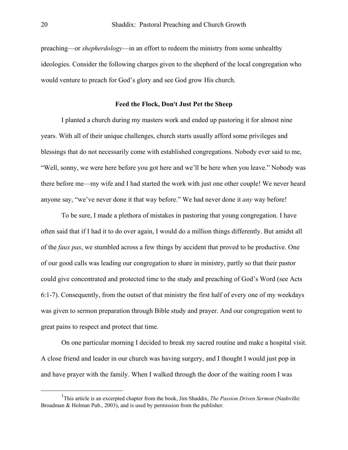preaching—or *shepherdology*—in an effort to redeem the ministry from some unhealthy ideologies. Consider the following charges given to the shepherd of the local congregation who would venture to preach for God's glory and see God grow His church.

## Feed the Flock, Don't Just Pet the Sheep

I planted a church during my masters work and ended up pastoring it for almost nine years. With all of their unique challenges, church starts usually afford some privileges and blessings that do not necessarily come with established congregations. Nobody ever said to me, "Well, sonny, we were here before you got here and we'll be here when you leave." Nobody was there before me—my wife and I had started the work with just one other couple! We never heard anyone say, "we've never done it that way before." We had never done it *any* way before!

To be sure, I made a plethora of mistakes in pastoring that young congregation. I have often said that if I had it to do over again, I would do a million things differently. But amidst all of the *faux pas*, we stumbled across a few things by accident that proved to be productive. One of our good calls was leading our congregation to share in ministry, partly so that their pastor could give concentrated and protected time to the study and preaching of God's Word (see Acts 6:1-7). Consequently, from the outset of that ministry the first half of every one of my weekdays was given to sermon preparation through Bible study and prayer. And our congregation went to great pains to respect and protect that time.

On one particular morning I decided to break my sacred routine and make a hospital visit. A close friend and leader in our church was having surgery, and I thought I would just pop in and have prayer with the family. When I walked through the door of the waiting room I was

 $\overline{a}$ 

<sup>&</sup>lt;sup>1</sup>This article is an excerpted chapter from the book, Jim Shaddix, *The Passion Driven Sermon* (Nashville: Broadman & Holman Pub., 2003), and is used by permission from the publisher.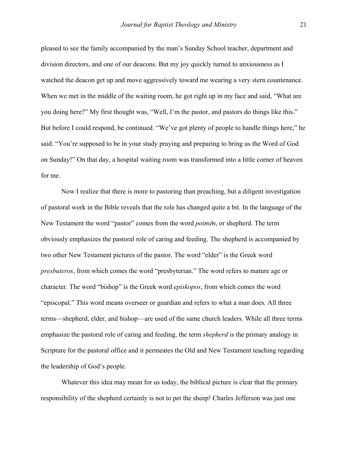pleased to see the family accompanied by the man's Sunday School teacher, department and division directors, and one of our deacons. But my joy quickly turned to anxiousness as I watched the deacon get up and move aggressively toward me wearing a very stern countenance. When we met in the middle of the waiting room, he got right up in my face and said, "What are you doing here?" My first thought was, "Well, I'm the pastor, and pastors do things like this." But before I could respond, he continued. "We've got plenty of people to handle things here," he said. "You're supposed to be in your study praying and preparing to bring us the Word of God on Sunday!" On that day, a hospital waiting room was transformed into a little corner of heaven for me.

Now I realize that there is more to pastoring than preaching, but a diligent investigation of pastoral work in the Bible reveals that the role has changed quite a bit. In the language of the New Testament the word "pastor" comes from the word *poim*'*n*, or shepherd. The term obviously emphasizes the pastoral role of caring and feeding. The shepherd is accompanied by two other New Testament pictures of the pastor. The word "elder" is the Greek word *presbuteros*, from which comes the word "presbyterian." The word refers to mature age or character. The word "bishop" is the Greek word *episkopos*, from which comes the word "episcopal." This word means overseer or guardian and refers to what a man does. All three terms—shepherd, elder, and bishop—are used of the same church leaders. While all three terms emphasize the pastoral role of caring and feeding, the term *shepherd* is the primary analogy in Scripture for the pastoral office and it permeates the Old and New Testament teaching regarding the leadership of God's people.

Whatever this idea may mean for us today, the biblical picture is clear that the primary responsibility of the shepherd certainly is not to pet the sheep! Charles Jefferson was just one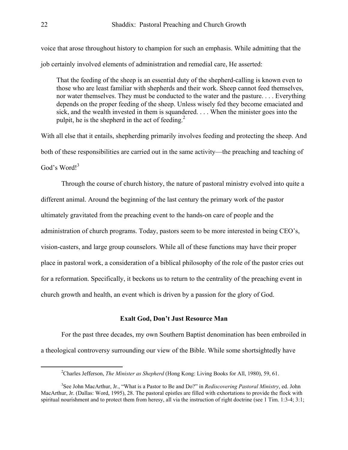<span id="page-3-1"></span>voice that arose throughout history to champion for such an emphasis. While admitting that the job certainly involved elements of administration and remedial care, He asserted:

That the feeding of the sheep is an essential duty of the shepherd-calling is known even to those who are least familiar with shepherds and their work. Sheep cannot feed themselves, nor water themselves. They must be conducted to the water and the pasture. . . . Everything depends on the proper feeding of the sheep. Unless wisely fed they become emaciated and sick, and the wealth invested in them is squandered. . . . When the minister goes into the pulpit, he is the shepherd in the act of feeding. $<sup>2</sup>$  $<sup>2</sup>$  $<sup>2</sup>$ </sup>

With all else that it entails, shepherding primarily involves feeding and protecting the sheep. And both of these responsibilities are carried out in the same activity—the preaching and teaching of God's Word! $3$ 

Through the course of church history, the nature of pastoral ministry evolved into quite a different animal. Around the beginning of the last century the primary work of the pastor ultimately gravitated from the preaching event to the hands-on care of people and the administration of church programs. Today, pastors seem to be more interested in being CEO's, vision-casters, and large group counselors. While all of these functions may have their proper place in pastoral work, a consideration of a biblical philosophy of the role of the pastor cries out for a reformation. Specifically, it beckons us to return to the centrality of the preaching event in church growth and health, an event which is driven by a passion for the glory of God.

# **Exalt God, Don't Just Resource Man**

For the past three decades, my own Southern Baptist denomination has been embroiled in a theological controversy surrounding our view of the Bible. While some shortsightedly have

 $\overline{a}$ 

<span id="page-3-0"></span><sup>2</sup> Charles Jefferson, *The Minister as Shepherd* (Hong Kong: Living Books for All, 1980), 59, 61.

<sup>3</sup> See John MacArthur, Jr., "What is a Pastor to Be and Do?" in *Rediscovering Pastoral Ministry*, ed. John MacArthur, Jr. (Dallas: Word, 1995), 28. The pastoral epistles are filled with exhortations to provide the flock with spiritual nourishment and to protect them from heresy, all via the instruction of right doctrine (see 1 Tim. 1:3-4; 3:1;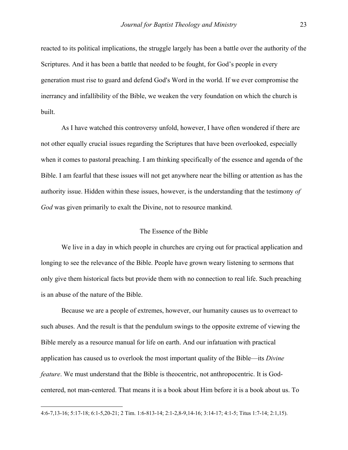reacted to its political implications, the struggle largely has been a battle over the authority of the Scriptures. And it has been a battle that needed to be fought, for God's people in every generation must rise to guard and defend God's Word in the world. If we ever compromise the inerrancy and infallibility of the Bible, we weaken the very foundation on which the church is built.

As I have watched this controversy unfold, however, I have often wondered if there are not other equally crucial issues regarding the Scriptures that have been overlooked, especially when it comes to pastoral preaching. I am thinking specifically of the essence and agenda of the Bible. I am fearful that these issues will not get anywhere near the billing or attention as has the authority issue. Hidden within these issues, however, is the understanding that the testimony *of God* was given primarily to exalt the Divine, not to resource mankind.

## The Essence of the Bible

We live in a day in which people in churches are crying out for practical application and longing to see the relevance of the Bible. People have grown weary listening to sermons that only give them historical facts but provide them with no connection to real life. Such preaching is an abuse of the nature of the Bible.

Because we are a people of extremes, however, our humanity causes us to overreact to such abuses. And the result is that the pendulum swings to the opposite extreme of viewing the Bible merely as a resource manual for life on earth. And our infatuation with practical application has caused us to overlook the most important quality of the Bible—its *Divine feature*. We must understand that the Bible is theocentric, not anthropocentric. It is Godcentered, not man-centered. That means it is a book about Him before it is a book about us. To

 $\overline{a}$ 

<sup>4:6-7,13-16; 5:17-18; 6:1-5,20-21; 2</sup> Tim. 1:6-813-14; 2:1-2,8-9,14-16; 3:14-17; 4:1-5; Titus 1:7-14; 2:1,15).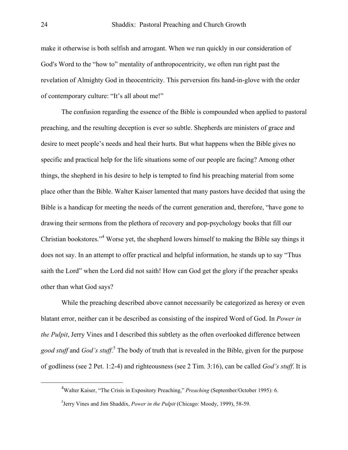make it otherwise is both selfish and arrogant. When we run quickly in our consideration of God's Word to the "how to" mentality of anthropocentricity, we often run right past the revelation of Almighty God in theocentricity. This perversion fits hand-in-glove with the order of contemporary culture: "It's all about me!"

The confusion regarding the essence of the Bible is compounded when applied to pastoral preaching, and the resulting deception is ever so subtle. Shepherds are ministers of grace and desire to meet people's needs and heal their hurts. But what happens when the Bible gives no specific and practical help for the life situations some of our people are facing? Among other things, the shepherd in his desire to help is tempted to find his preaching material from some place other than the Bible. Walter Kaiser lamented that many pastors have decided that using the Bible is a handicap for meeting the needs of the current generation and, therefore, "have gone to drawing their sermons from the plethora of recovery and pop-psychology books that fill our Christian bookstores."<sup>[4](#page-5-0)</sup> Worse yet, the shepherd lowers himself to making the Bible say things it does not say. In an attempt to offer practical and helpful information, he stands up to say "Thus saith the Lord" when the Lord did not saith! How can God get the glory if the preacher speaks other than what God says?

While the preaching described above cannot necessarily be categorized as heresy or even blatant error, neither can it be described as consisting of the inspired Word of God. In *Power in the Pulpit*, Jerry Vines and I described this subtlety as the often overlooked difference between good stuff and *God's stuff*.<sup>[5](#page-5-1)</sup> The body of truth that is revealed in the Bible, given for the purpose of godliness (see 2 Pet. 1:2-4) and righteousness (see 2 Tim. 3:16), can be called *God's stuff*. It is

 $\overline{4}$ Walter Kaiser, "The Crisis in Expository Preaching," *Preaching* (September/October 1995): 6.

<span id="page-5-1"></span><span id="page-5-0"></span><sup>5</sup> Jerry Vines and Jim Shaddix, *Power in the Pulpit* (Chicago: Moody, 1999), 58-59.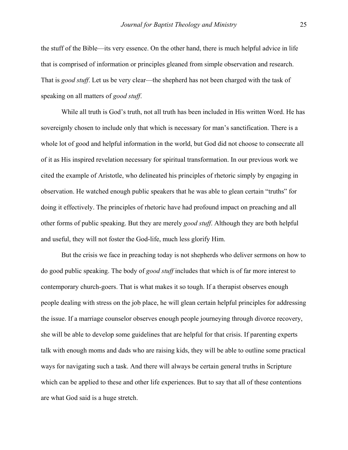the stuff of the Bible—its very essence. On the other hand, there is much helpful advice in life that is comprised of information or principles gleaned from simple observation and research. That is *good stuff*. Let us be very clear—the shepherd has not been charged with the task of speaking on all matters of *good stuff*.

While all truth is God's truth, not all truth has been included in His written Word. He has sovereignly chosen to include only that which is necessary for man's sanctification. There is a whole lot of good and helpful information in the world, but God did not choose to consecrate all of it as His inspired revelation necessary for spiritual transformation. In our previous work we cited the example of Aristotle, who delineated his principles of rhetoric simply by engaging in observation. He watched enough public speakers that he was able to glean certain "truths" for doing it effectively. The principles of rhetoric have had profound impact on preaching and all other forms of public speaking. But they are merely *good stuff*. Although they are both helpful and useful, they will not foster the God-life, much less glorify Him.

But the crisis we face in preaching today is not shepherds who deliver sermons on how to do good public speaking. The body of *good stuff* includes that which is of far more interest to contemporary church-goers. That is what makes it so tough. If a therapist observes enough people dealing with stress on the job place, he will glean certain helpful principles for addressing the issue. If a marriage counselor observes enough people journeying through divorce recovery, she will be able to develop some guidelines that are helpful for that crisis. If parenting experts talk with enough moms and dads who are raising kids, they will be able to outline some practical ways for navigating such a task. And there will always be certain general truths in Scripture which can be applied to these and other life experiences. But to say that all of these contentions are what God said is a huge stretch.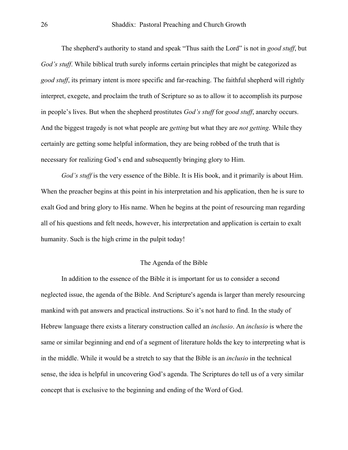The shepherd's authority to stand and speak "Thus saith the Lord" is not in *good stuff*, but *God's stuff*. While biblical truth surely informs certain principles that might be categorized as *good stuff*, its primary intent is more specific and far-reaching. The faithful shepherd will rightly interpret, exegete, and proclaim the truth of Scripture so as to allow it to accomplish its purpose in people's lives. But when the shepherd prostitutes *God's stuff* for *good stuff*, anarchy occurs. And the biggest tragedy is not what people are *getting* but what they are *not getting*. While they certainly are getting some helpful information, they are being robbed of the truth that is necessary for realizing God's end and subsequently bringing glory to Him.

*God's stuff* is the very essence of the Bible. It is His book, and it primarily is about Him. When the preacher begins at this point in his interpretation and his application, then he is sure to exalt God and bring glory to His name. When he begins at the point of resourcing man regarding all of his questions and felt needs, however, his interpretation and application is certain to exalt humanity. Such is the high crime in the pulpit today!

### The Agenda of the Bible

In addition to the essence of the Bible it is important for us to consider a second neglected issue, the agenda of the Bible. And Scripture's agenda is larger than merely resourcing mankind with pat answers and practical instructions. So it's not hard to find. In the study of Hebrew language there exists a literary construction called an *inclusio*. An *inclusio* is where the same or similar beginning and end of a segment of literature holds the key to interpreting what is in the middle. While it would be a stretch to say that the Bible is an *inclusio* in the technical sense, the idea is helpful in uncovering God's agenda. The Scriptures do tell us of a very similar concept that is exclusive to the beginning and ending of the Word of God.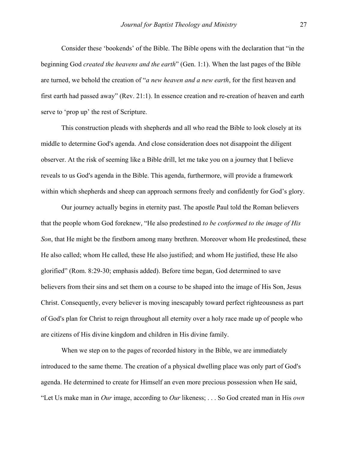Consider these 'bookends' of the Bible. The Bible opens with the declaration that "in the beginning God *created the heavens and the earth*" (Gen. 1:1). When the last pages of the Bible are turned, we behold the creation of "*a new heaven and a new earth*, for the first heaven and first earth had passed away" (Rev. 21:1). In essence creation and re-creation of heaven and earth serve to 'prop up' the rest of Scripture.

This construction pleads with shepherds and all who read the Bible to look closely at its middle to determine God's agenda. And close consideration does not disappoint the diligent observer. At the risk of seeming like a Bible drill, let me take you on a journey that I believe reveals to us God's agenda in the Bible. This agenda, furthermore, will provide a framework within which shepherds and sheep can approach sermons freely and confidently for God's glory.

Our journey actually begins in eternity past. The apostle Paul told the Roman believers that the people whom God foreknew, "He also predestined *to be conformed to the image of His Son*, that He might be the firstborn among many brethren. Moreover whom He predestined, these He also called; whom He called, these He also justified; and whom He justified, these He also glorified" (Rom. 8:29-30; emphasis added). Before time began, God determined to save believers from their sins and set them on a course to be shaped into the image of His Son, Jesus Christ. Consequently, every believer is moving inescapably toward perfect righteousness as part of God's plan for Christ to reign throughout all eternity over a holy race made up of people who are citizens of His divine kingdom and children in His divine family.

When we step on to the pages of recorded history in the Bible, we are immediately introduced to the same theme. The creation of a physical dwelling place was only part of God's agenda. He determined to create for Himself an even more precious possession when He said, "Let Us make man in *Our* image, according to *Our* likeness; . . . So God created man in His *own*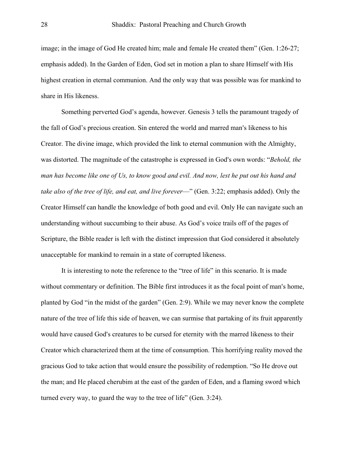image; in the image of God He created him; male and female He created them" (Gen. 1:26-27; emphasis added). In the Garden of Eden, God set in motion a plan to share Himself with His highest creation in eternal communion. And the only way that was possible was for mankind to share in His likeness.

Something perverted God's agenda, however. Genesis 3 tells the paramount tragedy of the fall of God's precious creation. Sin entered the world and marred man's likeness to his Creator. The divine image, which provided the link to eternal communion with the Almighty, was distorted. The magnitude of the catastrophe is expressed in God's own words: "*Behold, the man has become like one of Us, to know good and evil. And now, lest he put out his hand and take also of the tree of life, and eat, and live forever*—" (Gen. 3:22; emphasis added). Only the Creator Himself can handle the knowledge of both good and evil. Only He can navigate such an understanding without succumbing to their abuse. As God's voice trails off of the pages of Scripture, the Bible reader is left with the distinct impression that God considered it absolutely unacceptable for mankind to remain in a state of corrupted likeness.

It is interesting to note the reference to the "tree of life" in this scenario. It is made without commentary or definition. The Bible first introduces it as the focal point of man's home, planted by God "in the midst of the garden" (Gen. 2:9). While we may never know the complete nature of the tree of life this side of heaven, we can surmise that partaking of its fruit apparently would have caused God's creatures to be cursed for eternity with the marred likeness to their Creator which characterized them at the time of consumption. This horrifying reality moved the gracious God to take action that would ensure the possibility of redemption. "So He drove out the man; and He placed cherubim at the east of the garden of Eden, and a flaming sword which turned every way, to guard the way to the tree of life" (Gen. 3:24).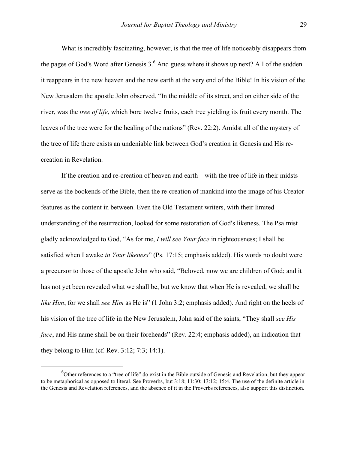What is incredibly fascinating, however, is that the tree of life noticeably disappears from the pages of God's Word after Genesis  $3<sup>6</sup>$  And guess where it shows up next? All of the sudden it reappears in the new heaven and the new earth at the very end of the Bible! In his vision of the New Jerusalem the apostle John observed, "In the middle of its street, and on either side of the river, was the *tree of life*, which bore twelve fruits, each tree yielding its fruit every month. The leaves of the tree were for the healing of the nations" (Rev. 22:2). Amidst all of the mystery of the tree of life there exists an undeniable link between God's creation in Genesis and His recreation in Revelation.

If the creation and re-creation of heaven and earth—with the tree of life in their midsts serve as the bookends of the Bible, then the re-creation of mankind into the image of his Creator features as the content in between. Even the Old Testament writers, with their limited understanding of the resurrection, looked for some restoration of God's likeness. The Psalmist gladly acknowledged to God, "As for me, *I will see Your face* in righteousness; I shall be satisfied when I awake *in Your likeness*" (Ps. 17:15; emphasis added). His words no doubt were a precursor to those of the apostle John who said, "Beloved, now we are children of God; and it has not yet been revealed what we shall be, but we know that when He is revealed, we shall be *like Him*, for we shall *see Him* as He is" (1 John 3:2; emphasis added). And right on the heels of his vision of the tree of life in the New Jerusalem, John said of the saints, "They shall *see His face*, and His name shall be on their foreheads" (Rev. 22:4; emphasis added), an indication that they belong to Him (cf. Rev. 3:12; 7:3; 14:1).

<span id="page-10-0"></span> <sup>6</sup>  ${}^{6}$ Other references to a "tree of life" do exist in the Bible outside of Genesis and Revelation, but they appear to be metaphorical as opposed to literal. See Proverbs, but 3:18; 11:30; 13:12; 15:4. The use of the definite article in the Genesis and Revelation references, and the absence of it in the Proverbs references, also support this distinction.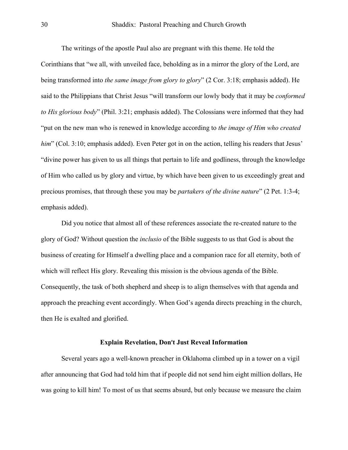The writings of the apostle Paul also are pregnant with this theme. He told the Corinthians that "we all, with unveiled face, beholding as in a mirror the glory of the Lord, are being transformed into *the same image from glory to glory*" (2 Cor. 3:18; emphasis added). He said to the Philippians that Christ Jesus "will transform our lowly body that it may be *conformed to His glorious body*" (Phil. 3:21; emphasis added). The Colossians were informed that they had "put on the new man who is renewed in knowledge according to *the image of Him who created him*" (Col. 3:10; emphasis added). Even Peter got in on the action, telling his readers that Jesus' "divine power has given to us all things that pertain to life and godliness, through the knowledge of Him who called us by glory and virtue, by which have been given to us exceedingly great and precious promises, that through these you may be *partakers of the divine nature*" (2 Pet. 1:3-4; emphasis added).

Did you notice that almost all of these references associate the re-created nature to the glory of God? Without question the *inclusio* of the Bible suggests to us that God is about the business of creating for Himself a dwelling place and a companion race for all eternity, both of which will reflect His glory. Revealing this mission is the obvious agenda of the Bible. Consequently, the task of both shepherd and sheep is to align themselves with that agenda and approach the preaching event accordingly. When God's agenda directs preaching in the church, then He is exalted and glorified.

#### **Explain Revelation, Don't Just Reveal Information**

Several years ago a well-known preacher in Oklahoma climbed up in a tower on a vigil after announcing that God had told him that if people did not send him eight million dollars, He was going to kill him! To most of us that seems absurd, but only because we measure the claim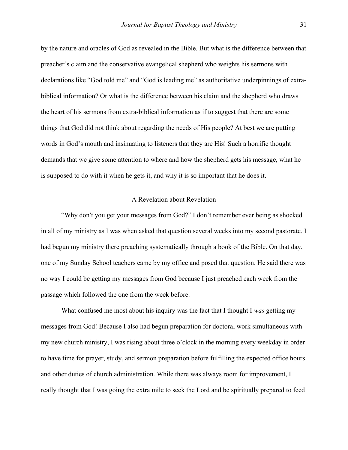by the nature and oracles of God as revealed in the Bible. But what is the difference between that preacher's claim and the conservative evangelical shepherd who weights his sermons with declarations like "God told me" and "God is leading me" as authoritative underpinnings of extrabiblical information? Or what is the difference between his claim and the shepherd who draws the heart of his sermons from extra-biblical information as if to suggest that there are some things that God did not think about regarding the needs of His people? At best we are putting words in God's mouth and insinuating to listeners that they are His! Such a horrific thought demands that we give some attention to where and how the shepherd gets his message, what he is supposed to do with it when he gets it, and why it is so important that he does it.

### A Revelation about Revelation

"Why don't you get your messages from God?" I don't remember ever being as shocked in all of my ministry as I was when asked that question several weeks into my second pastorate. I had begun my ministry there preaching systematically through a book of the Bible. On that day, one of my Sunday School teachers came by my office and posed that question. He said there was no way I could be getting my messages from God because I just preached each week from the passage which followed the one from the week before.

What confused me most about his inquiry was the fact that I thought I *was* getting my messages from God! Because I also had begun preparation for doctoral work simultaneous with my new church ministry, I was rising about three o'clock in the morning every weekday in order to have time for prayer, study, and sermon preparation before fulfilling the expected office hours and other duties of church administration. While there was always room for improvement, I really thought that I was going the extra mile to seek the Lord and be spiritually prepared to feed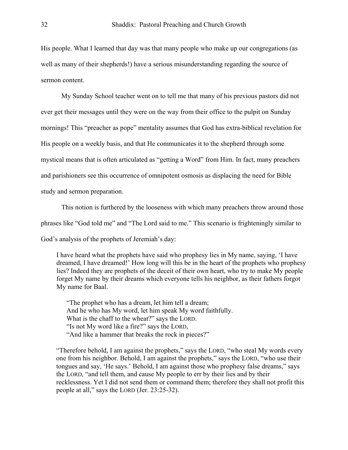His people. What I learned that day was that many people who make up our congregations (as well as many of their shepherds!) have a serious misunderstanding regarding the source of sermon content.

My Sunday School teacher went on to tell me that many of his previous pastors did not ever get their messages until they were on the way from their office to the pulpit on Sunday mornings! This "preacher as pope" mentality assumes that God has extra-biblical revelation for His people on a weekly basis, and that He communicates it to the shepherd through some mystical means that is often articulated as "getting a Word" from Him. In fact, many preachers and parishioners see this occurrence of omnipotent osmosis as displacing the need for Bible study and sermon preparation.

This notion is furthered by the looseness with which many preachers throw around those phrases like "God told me" and "The Lord said to me." This scenario is frighteningly similar to God's analysis of the prophets of Jeremiah's day:

I have heard what the prophets have said who prophesy lies in My name, saying, 'I have dreamed, I have dreamed!' How long will this be in the heart of the prophets who prophesy lies? Indeed they are prophets of the deceit of their own heart, who try to make My people forget My name by their dreams which everyone tells his neighbor, as their fathers forgot My name for Baal.

"The prophet who has a dream, let him tell a dream; And he who has My word, let him speak My word faithfully. What is the chaff to the wheat?" says the LORD. "Is not My word like a fire?" says the LORD, "And like a hammer that breaks the rock in pieces?"

"Therefore behold, I am against the prophets," says the LORD, "who steal My words every one from his neighbor. Behold, I am against the prophets," says the LORD, "who use their tongues and say, 'He says.' Behold, I am against those who prophesy false dreams," says the LORD, "and tell them, and cause My people to err by their lies and by their recklessness. Yet I did not send them or command them; therefore they shall not profit this people at all," says the LORD (Jer. 23:25-32).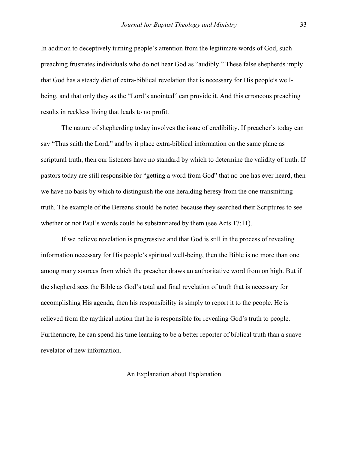In addition to deceptively turning people's attention from the legitimate words of God, such preaching frustrates individuals who do not hear God as "audibly." These false shepherds imply that God has a steady diet of extra-biblical revelation that is necessary for His people's wellbeing, and that only they as the "Lord's anointed" can provide it. And this erroneous preaching results in reckless living that leads to no profit.

The nature of shepherding today involves the issue of credibility. If preacher's today can say "Thus saith the Lord," and by it place extra-biblical information on the same plane as scriptural truth, then our listeners have no standard by which to determine the validity of truth. If pastors today are still responsible for "getting a word from God" that no one has ever heard, then we have no basis by which to distinguish the one heralding heresy from the one transmitting truth. The example of the Bereans should be noted because they searched their Scriptures to see whether or not Paul's words could be substantiated by them (see Acts 17:11).

If we believe revelation is progressive and that God is still in the process of revealing information necessary for His people's spiritual well-being, then the Bible is no more than one among many sources from which the preacher draws an authoritative word from on high. But if the shepherd sees the Bible as God's total and final revelation of truth that is necessary for accomplishing His agenda, then his responsibility is simply to report it to the people. He is relieved from the mythical notion that he is responsible for revealing God's truth to people. Furthermore, he can spend his time learning to be a better reporter of biblical truth than a suave revelator of new information.

An Explanation about Explanation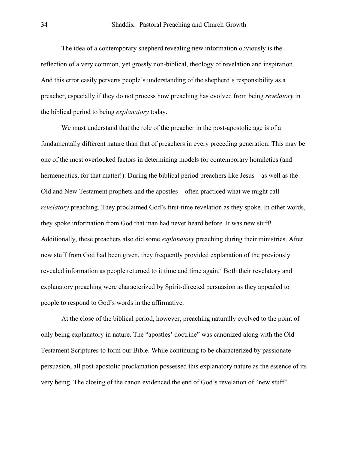The idea of a contemporary shepherd revealing new information obviously is the reflection of a very common, yet grossly non-biblical, theology of revelation and inspiration. And this error easily perverts people's understanding of the shepherd's responsibility as a preacher, especially if they do not process how preaching has evolved from being *revelatory* in the biblical period to being *explanatory* today.

We must understand that the role of the preacher in the post-apostolic age is of a fundamentally different nature than that of preachers in every preceding generation. This may be one of the most overlooked factors in determining models for contemporary homiletics (and hermeneutics, for that matter!). During the biblical period preachers like Jesus—as well as the Old and New Testament prophets and the apostles—often practiced what we might call *revelatory* preaching. They proclaimed God's first-time revelation as they spoke. In other words, they spoke information from God that man had never heard before. It was new stuff! Additionally, these preachers also did some *explanatory* preaching during their ministries. After new stuff from God had been given, they frequently provided explanation of the previously revealed information as people returned to it time and time again.<sup>7</sup> Both their revelatory and explanatory preaching were characterized by Spirit-directed persuasion as they appealed to people to respond to God's words in the affirmative.

<span id="page-15-0"></span>At the close of the biblical period, however, preaching naturally evolved to the point of only being explanatory in nature. The "apostles' doctrine" was canonized along with the Old Testament Scriptures to form our Bible. While continuing to be characterized by passionate persuasion, all post-apostolic proclamation possessed this explanatory nature as the essence of its very being. The closing of the canon evidenced the end of God's revelation of "new stuff"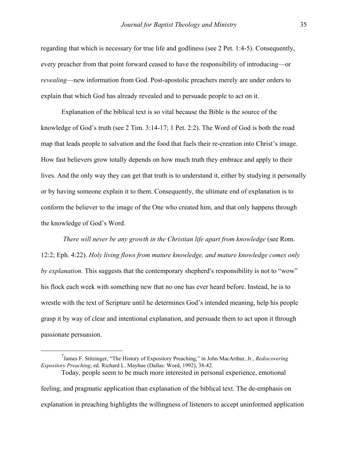regarding that which is necessary for true life and godliness (see 2 Pet. 1:4-5). Consequently, every preacher from that point forward ceased to have the responsibility of introducing—or *revealing*—new information from God. Post-apostolic preachers merely are under orders to explain that which God has already revealed and to persuade people to act on it.

Explanation of the biblical text is so vital because the Bible is the source of the knowledge of God's truth (see 2 Tim. 3:14-17; 1 Pet. 2:2). The Word of God is both the road map that leads people to salvation and the food that fuels their re-creation into Christ's image. How fast believers grow totally depends on how much truth they embrace and apply to their lives. And the only way they can get that truth is to understand it, either by studying it personally or by having someone explain it to them. Consequently, the ultimate end of explanation is to conform the believer to the image of the One who created him, and that only happens through the knowledge of God's Word.

*There will never be any growth in the Christian life apart from knowledge* (see Rom. 12:2; Eph. 4:22). *Holy living flows from mature knowledge, and mature knowledge comes only by explanation.* This suggests that the contemporary shepherd's responsibility is not to "wow" his flock each week with something new that no one has ever heard before. Instead, he is to wrestle with the text of Scripture until he determines God's intended meaning, help his people grasp it by way of clear and intentional explanation, and persuade them to act upon it through passionate persuasion.

 <sup>7</sup> James F. Stitzinger, "The History of Expository Preaching," in John MacArthur, Jr., *Rediscovering Expository Preaching*, ed. Richard L. Mayhue (Dallas: Word, 1992), 38-42. Today, people seem to be much more interested in personal experience, emotional

feeling, and pragmatic application than explanation of the biblical text. The de-emphasis on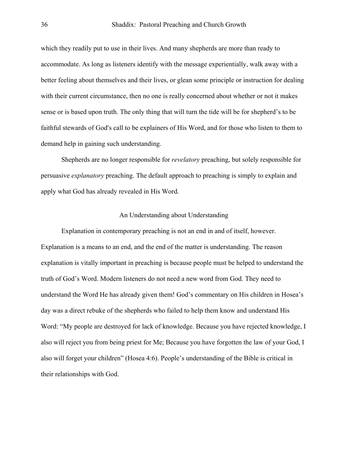which they readily put to use in their lives. And many shepherds are more than ready to accommodate. As long as listeners identify with the message experientially, walk away with a better feeling about themselves and their lives, or glean some principle or instruction for dealing with their current circumstance, then no one is really concerned about whether or not it makes sense or is based upon truth. The only thing that will turn the tide will be for shepherd's to be faithful stewards of God's call to be explainers of His Word, and for those who listen to them to demand help in gaining such understanding.

Shepherds are no longer responsible for *revelatory* preaching, but solely responsible for persuasive *explanatory* preaching. The default approach to preaching is simply to explain and apply what God has already revealed in His Word.

### An Understanding about Understanding

Explanation in contemporary preaching is not an end in and of itself, however. Explanation is a means to an end, and the end of the matter is understanding. The reason explanation is vitally important in preaching is because people must be helped to understand the truth of God's Word. Modern listeners do not need a new word from God. They need to understand the Word He has already given them! God's commentary on His children in Hosea's day was a direct rebuke of the shepherds who failed to help them know and understand His Word: "My people are destroyed for lack of knowledge. Because you have rejected knowledge, I also will reject you from being priest for Me; Because you have forgotten the law of your God, I also will forget your children" (Hosea 4:6). People's understanding of the Bible is critical in their relationships with God.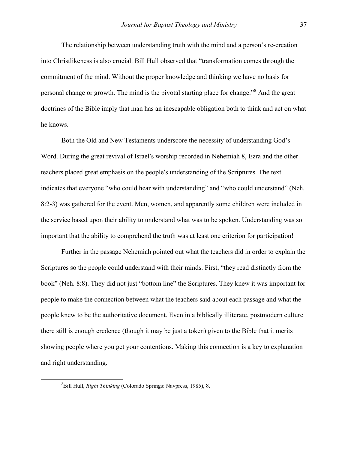The relationship between understanding truth with the mind and a person's re-creation into Christlikeness is also crucial. Bill Hull observed that "transformation comes through the commitment of the mind. Without the proper knowledge and thinking we have no basis for personal change or growth. The mind is the pivotal starting place for change."<sup>[8](#page-18-0)</sup> And the great doctrines of the Bible imply that man has an inescapable obligation both to think and act on what he knows.

Both the Old and New Testaments underscore the necessity of understanding God's Word. During the great revival of Israel's worship recorded in Nehemiah 8, Ezra and the other teachers placed great emphasis on the people's understanding of the Scriptures. The text indicates that everyone "who could hear with understanding" and "who could understand" (Neh. 8:2-3) was gathered for the event. Men, women, and apparently some children were included in the service based upon their ability to understand what was to be spoken. Understanding was so important that the ability to comprehend the truth was at least one criterion for participation!

Further in the passage Nehemiah pointed out what the teachers did in order to explain the Scriptures so the people could understand with their minds. First, "they read distinctly from the book" (Neh. 8:8). They did not just "bottom line" the Scriptures. They knew it was important for people to make the connection between what the teachers said about each passage and what the people knew to be the authoritative document. Even in a biblically illiterate, postmodern culture there still is enough credence (though it may be just a token) given to the Bible that it merits showing people where you get your contentions. Making this connection is a key to explanation and right understanding.

<span id="page-18-0"></span> $\frac{1}{8}$ Bill Hull, *Right Thinking* (Colorado Springs: Navpress, 1985), 8.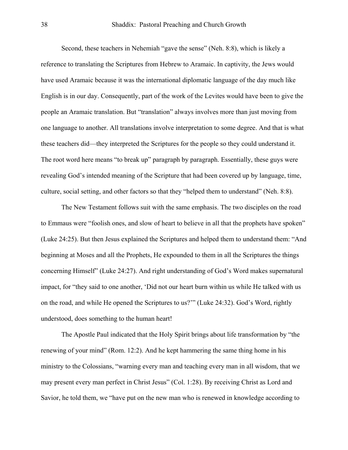Second, these teachers in Nehemiah "gave the sense" (Neh. 8:8), which is likely a reference to translating the Scriptures from Hebrew to Aramaic. In captivity, the Jews would have used Aramaic because it was the international diplomatic language of the day much like English is in our day. Consequently, part of the work of the Levites would have been to give the people an Aramaic translation. But "translation" always involves more than just moving from one language to another. All translations involve interpretation to some degree. And that is what these teachers did—they interpreted the Scriptures for the people so they could understand it. The root word here means "to break up" paragraph by paragraph. Essentially, these guys were revealing God's intended meaning of the Scripture that had been covered up by language, time, culture, social setting, and other factors so that they "helped them to understand" (Neh. 8:8).

The New Testament follows suit with the same emphasis. The two disciples on the road to Emmaus were "foolish ones, and slow of heart to believe in all that the prophets have spoken" (Luke 24:25). But then Jesus explained the Scriptures and helped them to understand them: "And beginning at Moses and all the Prophets, He expounded to them in all the Scriptures the things concerning Himself" (Luke 24:27). And right understanding of God's Word makes supernatural impact, for "they said to one another, 'Did not our heart burn within us while He talked with us on the road, and while He opened the Scriptures to us?'" (Luke 24:32). God's Word, rightly understood, does something to the human heart!

The Apostle Paul indicated that the Holy Spirit brings about life transformation by "the renewing of your mind" (Rom. 12:2). And he kept hammering the same thing home in his ministry to the Colossians, "warning every man and teaching every man in all wisdom, that we may present every man perfect in Christ Jesus" (Col. 1:28). By receiving Christ as Lord and Savior, he told them, we "have put on the new man who is renewed in knowledge according to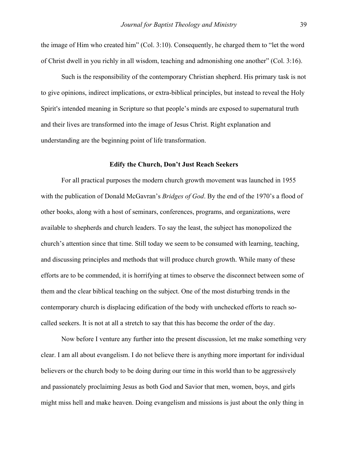the image of Him who created him" (Col. 3:10). Consequently, he charged them to "let the word of Christ dwell in you richly in all wisdom, teaching and admonishing one another" (Col. 3:16).

Such is the responsibility of the contemporary Christian shepherd. His primary task is not to give opinions, indirect implications, or extra-biblical principles, but instead to reveal the Holy Spirit's intended meaning in Scripture so that people's minds are exposed to supernatural truth and their lives are transformed into the image of Jesus Christ. Right explanation and understanding are the beginning point of life transformation.

#### **Edify the Church, Don't Just Reach Seekers**

For all practical purposes the modern church growth movement was launched in 1955 with the publication of Donald McGavran's *Bridges of God*. By the end of the 1970's a flood of other books, along with a host of seminars, conferences, programs, and organizations, were available to shepherds and church leaders. To say the least, the subject has monopolized the church's attention since that time. Still today we seem to be consumed with learning, teaching, and discussing principles and methods that will produce church growth. While many of these efforts are to be commended, it is horrifying at times to observe the disconnect between some of them and the clear biblical teaching on the subject. One of the most disturbing trends in the contemporary church is displacing edification of the body with unchecked efforts to reach socalled seekers. It is not at all a stretch to say that this has become the order of the day.

Now before I venture any further into the present discussion, let me make something very clear. I am all about evangelism. I do not believe there is anything more important for individual believers or the church body to be doing during our time in this world than to be aggressively and passionately proclaiming Jesus as both God and Savior that men, women, boys, and girls might miss hell and make heaven. Doing evangelism and missions is just about the only thing in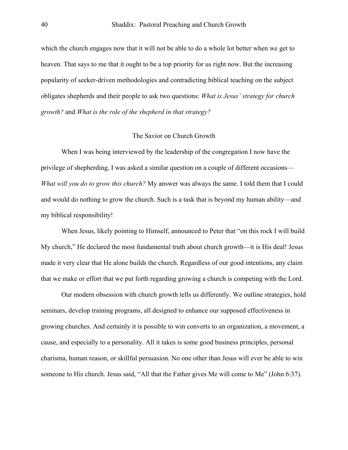which the church engages now that it will not be able to do a whole lot better when we get to heaven. That says to me that it ought to be a top priority for us right now. But the increasing popularity of seeker-driven methodologies and contradicting biblical teaching on the subject obligates shepherds and their people to ask two questions: *What is Jesus' strategy for church growth?* and *What is the role of the shepherd in that strategy?*

## The Savior on Church Growth

When I was being interviewed by the leadership of the congregation I now have the privilege of shepherding, I was asked a similar question on a couple of different occasions— *What will you do to grow this church?* My answer was always the same. I told them that I could and would do nothing to grow the church. Such is a task that is beyond my human ability—and my biblical responsibility!

When Jesus, likely pointing to Himself, announced to Peter that "on this rock I will build My church," He declared the most fundamental truth about church growth—it is His deal! Jesus made it very clear that He alone builds the church. Regardless of our good intentions, any claim that we make or effort that we put forth regarding growing a church is competing with the Lord.

Our modern obsession with church growth tells us differently. We outline strategies, hold seminars, develop training programs, all designed to enhance our supposed effectiveness in growing churches. And certainly it is possible to win converts to an organization, a movement, a cause, and especially to a personality. All it takes is some good business principles, personal charisma, human reason, or skillful persuasion. No one other than Jesus will ever be able to win someone to His church. Jesus said, "All that the Father gives Me will come to Me" (John 6:37).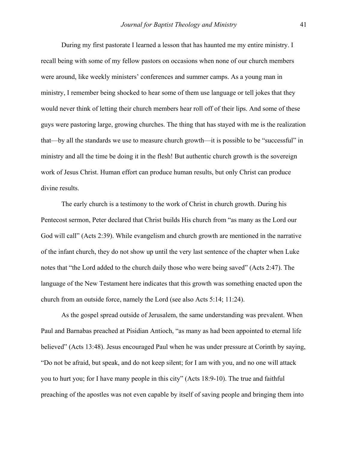During my first pastorate I learned a lesson that has haunted me my entire ministry. I recall being with some of my fellow pastors on occasions when none of our church members were around, like weekly ministers' conferences and summer camps. As a young man in ministry, I remember being shocked to hear some of them use language or tell jokes that they would never think of letting their church members hear roll off of their lips. And some of these guys were pastoring large, growing churches. The thing that has stayed with me is the realization that—by all the standards we use to measure church growth—it is possible to be "successful" in ministry and all the time be doing it in the flesh! But authentic church growth is the sovereign work of Jesus Christ. Human effort can produce human results, but only Christ can produce divine results.

The early church is a testimony to the work of Christ in church growth. During his Pentecost sermon, Peter declared that Christ builds His church from "as many as the Lord our God will call" (Acts 2:39). While evangelism and church growth are mentioned in the narrative of the infant church, they do not show up until the very last sentence of the chapter when Luke notes that "the Lord added to the church daily those who were being saved" (Acts 2:47). The language of the New Testament here indicates that this growth was something enacted upon the church from an outside force, namely the Lord (see also Acts 5:14; 11:24).

As the gospel spread outside of Jerusalem, the same understanding was prevalent. When Paul and Barnabas preached at Pisidian Antioch, "as many as had been appointed to eternal life believed" (Acts 13:48). Jesus encouraged Paul when he was under pressure at Corinth by saying, "Do not be afraid, but speak, and do not keep silent; for I am with you, and no one will attack you to hurt you; for I have many people in this city" (Acts 18:9-10). The true and faithful preaching of the apostles was not even capable by itself of saving people and bringing them into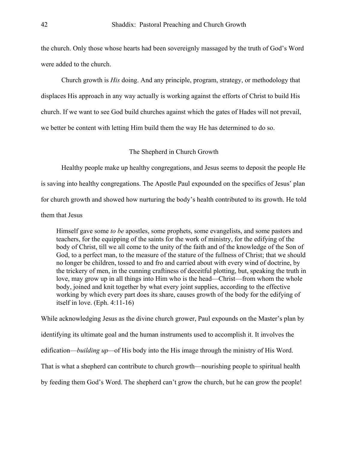the church. Only those whose hearts had been sovereignly massaged by the truth of God's Word were added to the church.

Church growth is *His* doing. And any principle, program, strategy, or methodology that displaces His approach in any way actually is working against the efforts of Christ to build His church. If we want to see God build churches against which the gates of Hades will not prevail, we better be content with letting Him build them the way He has determined to do so.

### The Shepherd in Church Growth

Healthy people make up healthy congregations, and Jesus seems to deposit the people He is saving into healthy congregations. The Apostle Paul expounded on the specifics of Jesus' plan for church growth and showed how nurturing the body's health contributed to its growth. He told them that Jesus

Himself gave some *to be* apostles, some prophets, some evangelists, and some pastors and teachers, for the equipping of the saints for the work of ministry, for the edifying of the body of Christ, till we all come to the unity of the faith and of the knowledge of the Son of God, to a perfect man, to the measure of the stature of the fullness of Christ; that we should no longer be children, tossed to and fro and carried about with every wind of doctrine, by the trickery of men, in the cunning craftiness of deceitful plotting, but, speaking the truth in love, may grow up in all things into Him who is the head—Christ—from whom the whole body, joined and knit together by what every joint supplies, according to the effective working by which every part does its share, causes growth of the body for the edifying of itself in love. (Eph. 4:11-16)

While acknowledging Jesus as the divine church grower, Paul expounds on the Master's plan by identifying its ultimate goal and the human instruments used to accomplish it. It involves the edification—*building up—*of His body into the His image through the ministry of His Word. That is what a shepherd can contribute to church growth—nourishing people to spiritual health by feeding them God's Word. The shepherd can't grow the church, but he can grow the people!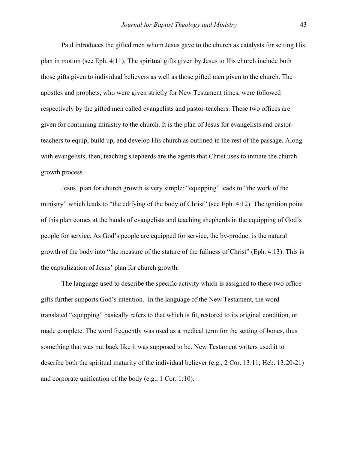Paul introduces the gifted men whom Jesus gave to the church as catalysts for setting His plan in motion (see Eph. 4:11). The spiritual gifts given by Jesus to His church include both those gifts given to individual believers as well as those gifted men given to the church. The apostles and prophets, who were given strictly for New Testament times, were followed respectively by the gifted men called evangelists and pastor-teachers. These two offices are given for continuing ministry to the church. It is the plan of Jesus for evangelists and pastorteachers to equip, build up, and develop His church as outlined in the rest of the passage. Along with evangelists, then, teaching shepherds are the agents that Christ uses to initiate the church growth process.

Jesus' plan for church growth is very simple: "equipping" leads to "the work of the ministry" which leads to "the edifying of the body of Christ" (see Eph. 4:12). The ignition point of this plan comes at the hands of evangelists and teaching shepherds in the equipping of God's people for service. As God's people are equipped for service, the by-product is the natural growth of the body into "the measure of the stature of the fullness of Christ" (Eph. 4:13). This is the capsulization of Jesus' plan for church growth.

The language used to describe the specific activity which is assigned to these two office gifts further supports God's intention. In the language of the New Testament, the word translated "equipping" basically refers to that which is fit, restored to its original condition, or made complete. The word frequently was used as a medical term for the setting of bones, thus something that was put back like it was supposed to be. New Testament writers used it to describe both the spiritual maturity of the individual believer (e.g., 2 Cor. 13:11; Heb. 13:20-21) and corporate unification of the body (e.g., 1 Cor. 1:10).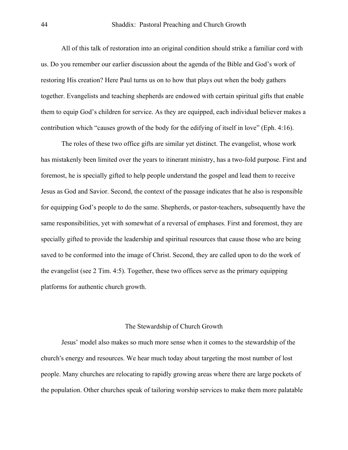All of this talk of restoration into an original condition should strike a familiar cord with us. Do you remember our earlier discussion about the agenda of the Bible and God's work of restoring His creation? Here Paul turns us on to how that plays out when the body gathers together. Evangelists and teaching shepherds are endowed with certain spiritual gifts that enable them to equip God's children for service. As they are equipped, each individual believer makes a contribution which "causes growth of the body for the edifying of itself in love" (Eph. 4:16).

The roles of these two office gifts are similar yet distinct. The evangelist, whose work has mistakenly been limited over the years to itinerant ministry, has a two-fold purpose. First and foremost, he is specially gifted to help people understand the gospel and lead them to receive Jesus as God and Savior. Second, the context of the passage indicates that he also is responsible for equipping God's people to do the same. Shepherds, or pastor-teachers, subsequently have the same responsibilities, yet with somewhat of a reversal of emphases. First and foremost, they are specially gifted to provide the leadership and spiritual resources that cause those who are being saved to be conformed into the image of Christ. Second, they are called upon to do the work of the evangelist (see 2 Tim. 4:5). Together, these two offices serve as the primary equipping platforms for authentic church growth.

### The Stewardship of Church Growth

Jesus' model also makes so much more sense when it comes to the stewardship of the church's energy and resources. We hear much today about targeting the most number of lost people. Many churches are relocating to rapidly growing areas where there are large pockets of the population. Other churches speak of tailoring worship services to make them more palatable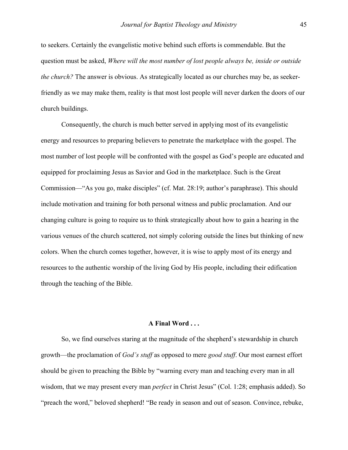to seekers. Certainly the evangelistic motive behind such efforts is commendable. But the question must be asked, *Where will the most number of lost people always be, inside or outside the church?* The answer is obvious. As strategically located as our churches may be, as seekerfriendly as we may make them, reality is that most lost people will never darken the doors of our church buildings.

Consequently, the church is much better served in applying most of its evangelistic energy and resources to preparing believers to penetrate the marketplace with the gospel. The most number of lost people will be confronted with the gospel as God's people are educated and equipped for proclaiming Jesus as Savior and God in the marketplace. Such is the Great Commission—"As you go, make disciples" (cf. Mat. 28:19; author's paraphrase). This should include motivation and training for both personal witness and public proclamation. And our changing culture is going to require us to think strategically about how to gain a hearing in the various venues of the church scattered, not simply coloring outside the lines but thinking of new colors. When the church comes together, however, it is wise to apply most of its energy and resources to the authentic worship of the living God by His people, including their edification through the teaching of the Bible.

#### **A Final Word . . .**

So, we find ourselves staring at the magnitude of the shepherd's stewardship in church growth—the proclamation of *God's stuff* as opposed to mere *good stuff*. Our most earnest effort should be given to preaching the Bible by "warning every man and teaching every man in all wisdom, that we may present every man *perfect* in Christ Jesus" (Col. 1:28; emphasis added). So "preach the word," beloved shepherd! "Be ready in season and out of season. Convince, rebuke,